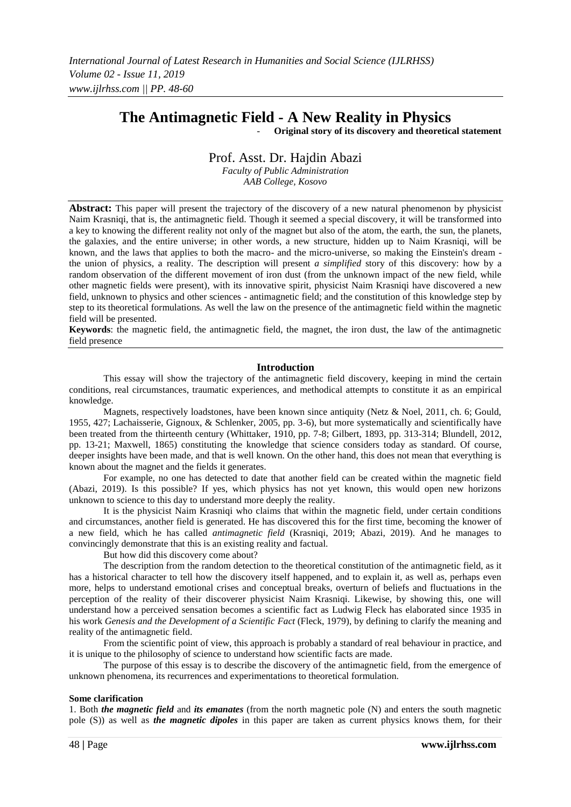# **The Antimagnetic Field - A New Reality in Physics**

- **Original story of its discovery and theoretical statement**

## Prof. Asst. Dr. Hajdin Abazi

*Faculty of Public Administration AAB College, Kosovo*

**Abstract:** This paper will present the trajectory of the discovery of a new natural phenomenon by physicist Naim Krasniqi, that is, the antimagnetic field. Though it seemed a special discovery, it will be transformed into a key to knowing the different reality not only of the magnet but also of the atom, the earth, the sun, the planets, the galaxies, and the entire universe; in other words, a new structure, hidden up to Naim Krasniqi, will be known, and the laws that applies to both the macro- and the micro-universe, so making the Einstein's dream the union of physics, a reality. The description will present *a simplified* story of this discovery: how by a random observation of the different movement of iron dust (from the unknown impact of the new field, while other magnetic fields were present), with its innovative spirit, physicist Naim Krasniqi have discovered a new field, unknown to physics and other sciences - antimagnetic field; and the constitution of this knowledge step by step to its theoretical formulations. As well the law on the presence of the antimagnetic field within the magnetic field will be presented.

**Keywords**: the magnetic field, the antimagnetic field, the magnet, the iron dust, the law of the antimagnetic field presence

#### **Introduction**

This essay will show the trajectory of the antimagnetic field discovery, keeping in mind the certain conditions, real circumstances, traumatic experiences, and methodical attempts to constitute it as an empirical knowledge.

Magnets, respectively loadstones, have been known since antiquity (Netz & Noel, 2011, ch. 6; Gould, 1955, 427; Lachaisserie, Gignoux, & Schlenker, 2005, pp. 3-6), but more systematically and scientifically have been treated from the thirteenth century (Whittaker, 1910, pp. 7-8; Gilbert, 1893, pp. 313-314; Blundell, 2012, pp. 13-21; Maxwell, 1865) constituting the knowledge that science considers today as standard. Of course, deeper insights have been made, and that is well known. On the other hand, this does not mean that everything is known about the magnet and the fields it generates.

For example, no one has detected to date that another field can be created within the magnetic field (Abazi, 2019). Is this possible? If yes, which physics has not yet known, this would open new horizons unknown to science to this day to understand more deeply the reality.

It is the physicist Naim Krasniqi who claims that within the magnetic field, under certain conditions and circumstances, another field is generated. He has discovered this for the first time, becoming the knower of a new field, which he has called *antimagnetic field* (Krasniqi, 2019; Abazi, 2019). And he manages to convincingly demonstrate that this is an existing reality and factual.

But how did this discovery come about?

The description from the random detection to the theoretical constitution of the antimagnetic field, as it has a historical character to tell how the discovery itself happened, and to explain it, as well as, perhaps even more, helps to understand emotional crises and conceptual breaks, overturn of beliefs and fluctuations in the perception of the reality of their discoverer physicist Naim Krasniqi. Likewise, by showing this, one will understand how a perceived sensation becomes a scientific fact as Ludwig Fleck has elaborated since 1935 in his work *Genesis and the Development of a Scientific Fact* (Fleck, 1979), by defining to clarify the meaning and reality of the antimagnetic field.

From the scientific point of view, this approach is probably a standard of real behaviour in practice, and it is unique to the philosophy of science to understand how scientific facts are made.

The purpose of this essay is to describe the discovery of the antimagnetic field, from the emergence of unknown phenomena, its recurrences and experimentations to theoretical formulation.

#### **Some clarification**

1. Both *the magnetic field* and *its emanates* (from the north magnetic pole (N) and enters the south magnetic pole (S)) as well as *the magnetic dipoles* in this paper are taken as current physics knows them, for their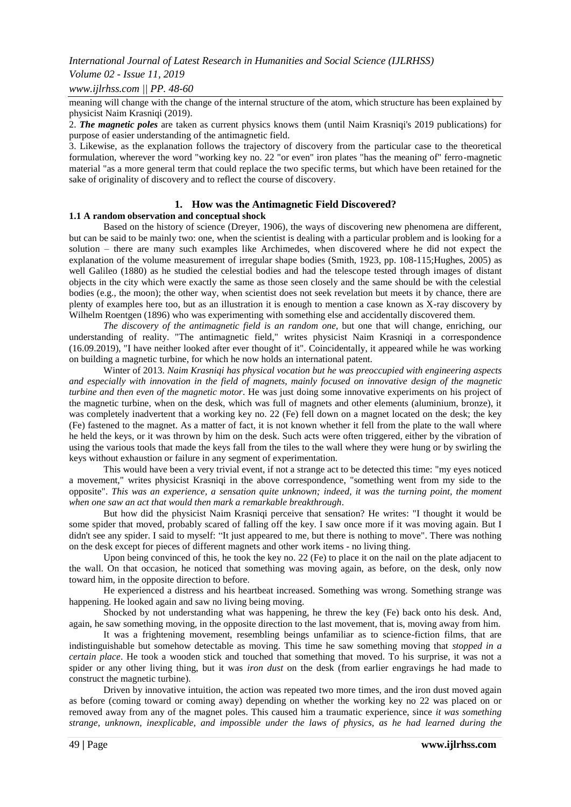#### *Volume 02 - Issue 11, 2019*

*www.ijlrhss.com || PP. 48-60*

meaning will change with the change of the internal structure of the atom, which structure has been explained by physicist Naim Krasniqi (2019).

2. *The magnetic poles* are taken as current physics knows them (until Naim Krasniqi's 2019 publications) for purpose of easier understanding of the antimagnetic field.

3. Likewise, as the explanation follows the trajectory of discovery from the particular case to the theoretical formulation, wherever the word "working key no. 22 "or even" iron plates "has the meaning of" ferro-magnetic material "as a more general term that could replace the two specific terms, but which have been retained for the sake of originality of discovery and to reflect the course of discovery.

## **1. How was the Antimagnetic Field Discovered?**

#### **1.1 A random observation and conceptual shock**

Based on the history of science (Dreyer, 1906), the ways of discovering new phenomena are different, but can be said to be mainly two: one, when the scientist is dealing with a particular problem and is looking for a solution – there are many such examples like Archimedes, when discovered where he did not expect the explanation of the volume measurement of irregular shape bodies (Smith, 1923, pp. 108-115;Hughes, 2005) as well Galileo (1880) as he studied the celestial bodies and had the telescope tested through images of distant objects in the city which were exactly the same as those seen closely and the same should be with the celestial bodies (e.g., the moon); the other way, when scientist does not seek revelation but meets it by chance, there are plenty of examples here too, but as an illustration it is enough to mention a case known as X-ray discovery by Wilhelm Roentgen (1896) who was experimenting with something else and accidentally discovered them.

*The discovery of the antimagnetic field is an random one*, but one that will change, enriching, our understanding of reality. "The antimagnetic field," writes physicist Naim Krasniqi in a correspondence (16.09.2019), "I have neither looked after ever thought of it". Coincidentally, it appeared while he was working on building a magnetic turbine, for which he now holds an international patent.

Winter of 2013. *Naim Krasniqi has physical vocation but he was preoccupied with engineering aspects and especially with innovation in the field of magnets, mainly focused on innovative design of the magnetic turbine and then even of the magnetic motor*. He was just doing some innovative experiments on his project of the magnetic turbine, when on the desk, which was full of magnets and other elements (aluminium, bronze), it was completely inadvertent that a working key no. 22 (Fe) fell down on a magnet located on the desk; the key (Fe) fastened to the magnet. As a matter of fact, it is not known whether it fell from the plate to the wall where he held the keys, or it was thrown by him on the desk. Such acts were often triggered, either by the vibration of using the various tools that made the keys fall from the tiles to the wall where they were hung or by swirling the keys without exhaustion or failure in any segment of experimentation.

This would have been a very trivial event, if not a strange act to be detected this time: "my eyes noticed a movement," writes physicist Krasniqi in the above correspondence, "something went from my side to the opposite". *This was an experience, a sensation quite unknown; indeed, it was the turning point, the moment when one saw an act that would then mark a remarkable breakthrough*.

But how did the physicist Naim Krasniqi perceive that sensation? He writes: "I thought it would be some spider that moved, probably scared of falling off the key. I saw once more if it was moving again. But I didn't see any spider. I said to myself: "It just appeared to me, but there is nothing to move". There was nothing on the desk except for pieces of different magnets and other work items - no living thing.

Upon being convinced of this, he took the key no. 22 (Fe) to place it on the nail on the plate adjacent to the wall. On that occasion, he noticed that something was moving again, as before, on the desk, only now toward him, in the opposite direction to before.

He experienced a distress and his heartbeat increased. Something was wrong. Something strange was happening. He looked again and saw no living being moving.

Shocked by not understanding what was happening, he threw the key (Fe) back onto his desk. And, again, he saw something moving, in the opposite direction to the last movement, that is, moving away from him.

It was a frightening movement, resembling beings unfamiliar as to science-fiction films, that are indistinguishable but somehow detectable as moving. This time he saw something moving that *stopped in a certain place*. He took a wooden stick and touched that something that moved. To his surprise, it was not a spider or any other living thing, but it was *iron dust* on the desk (from earlier engravings he had made to construct the magnetic turbine).

Driven by innovative intuition, the action was repeated two more times, and the iron dust moved again as before (coming toward or coming away) depending on whether the working key no 22 was placed on or removed away from any of the magnet poles. This caused him a traumatic experience, since *it was something strange, unknown, inexplicable, and impossible under the laws of physics, as he had learned during the*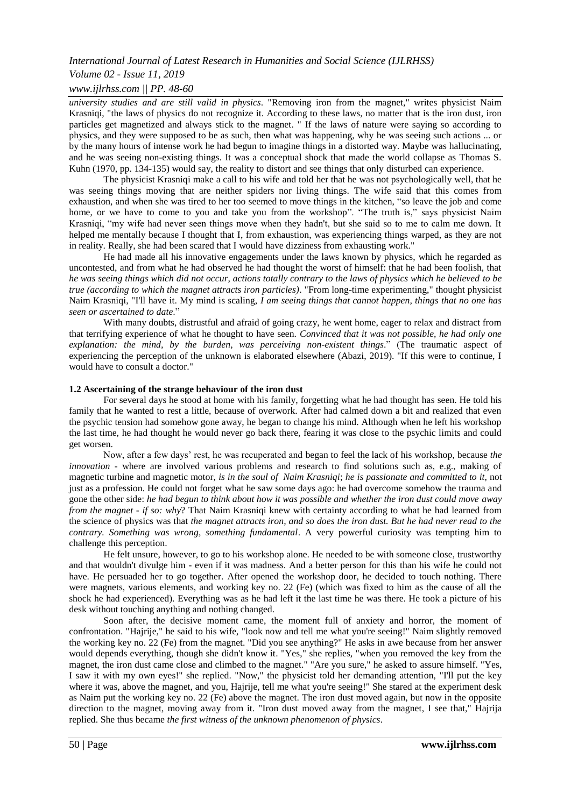## *Volume 02 - Issue 11, 2019*

## *www.ijlrhss.com || PP. 48-60*

*university studies and are still valid in physics*. "Removing iron from the magnet," writes physicist Naim Krasniqi, "the laws of physics do not recognize it. According to these laws, no matter that is the iron dust, iron particles get magnetized and always stick to the magnet. " If the laws of nature were saying so according to physics, and they were supposed to be as such, then what was happening, why he was seeing such actions ... or by the many hours of intense work he had begun to imagine things in a distorted way. Maybe was hallucinating, and he was seeing non-existing things. It was a conceptual shock that made the world collapse as Thomas S. Kuhn (1970, pp. 134-135) would say, the reality to distort and see things that only disturbed can experience.

The physicist Krasniqi make a call to his wife and told her that he was not psychologically well, that he was seeing things moving that are neither spiders nor living things. The wife said that this comes from exhaustion, and when she was tired to her too seemed to move things in the kitchen, "so leave the job and come home, or we have to come to you and take you from the workshop". "The truth is," says physicist Naim Krasniqi, "my wife had never seen things move when they hadn't, but she said so to me to calm me down. It helped me mentally because I thought that I, from exhaustion, was experiencing things warped, as they are not in reality. Really, she had been scared that I would have dizziness from exhausting work."

He had made all his innovative engagements under the laws known by physics, which he regarded as uncontested, and from what he had observed he had thought the worst of himself: that he had been foolish, that *he was seeing things which did not occur, actions totally contrary to the laws of physics which he believed to be true (according to which the magnet attracts iron particles)*. "From long-time experimenting," thought physicist Naim Krasniqi, "I'll have it. My mind is scaling, *I am seeing things that cannot happen, things that no one has seen or ascertained to date*."

With many doubts, distrustful and afraid of going crazy, he went home, eager to relax and distract from that terrifying experience of what he thought to have seen. *Convinced that it was not possible, he had only one explanation: the mind, by the burden, was perceiving non-existent things*." (The traumatic aspect of experiencing the perception of the unknown is elaborated elsewhere (Abazi, 2019). "If this were to continue, I would have to consult a doctor."

#### **1.2 Ascertaining of the strange behaviour of the iron dust**

For several days he stood at home with his family, forgetting what he had thought has seen. He told his family that he wanted to rest a little, because of overwork. After had calmed down a bit and realized that even the psychic tension had somehow gone away, he began to change his mind. Although when he left his workshop the last time, he had thought he would never go back there, fearing it was close to the psychic limits and could get worsen.

Now, after a few days' rest, he was recuperated and began to feel the lack of his workshop, because *the innovation* - where are involved various problems and research to find solutions such as, e.g., making of magnetic turbine and magnetic motor, *is in the soul of Naim Krasniqi*; *he is passionate and committed to it*, not just as a profession. He could not forget what he saw some days ago: he had overcome somehow the trauma and gone the other side: *he had begun to think about how it was possible and whether the iron dust could move away from the magnet - if so: why*? That Naim Krasniqi knew with certainty according to what he had learned from the science of physics was that *the magnet attracts iron, and so does the iron dust. But he had never read to the contrary. Something was wrong, something fundamental*. A very powerful curiosity was tempting him to challenge this perception.

He felt unsure, however, to go to his workshop alone. He needed to be with someone close, trustworthy and that wouldn't divulge him - even if it was madness. And a better person for this than his wife he could not have. He persuaded her to go together. After opened the workshop door, he decided to touch nothing. There were magnets, various elements, and working key no. 22 (Fe) (which was fixed to him as the cause of all the shock he had experienced). Everything was as he had left it the last time he was there. He took a picture of his desk without touching anything and nothing changed.

Soon after, the decisive moment came, the moment full of anxiety and horror, the moment of confrontation. "Hajrije," he said to his wife, "look now and tell me what you're seeing!" Naim slightly removed the working key no. 22 (Fe) from the magnet. "Did you see anything?" He asks in awe because from her answer would depends everything, though she didn't know it. "Yes," she replies, "when you removed the key from the magnet, the iron dust came close and climbed to the magnet." "Are you sure," he asked to assure himself. "Yes, I saw it with my own eyes!" she replied. "Now," the physicist told her demanding attention, "I'll put the key where it was, above the magnet, and you, Hajrije, tell me what you're seeing!" She stared at the experiment desk as Naim put the working key no. 22 (Fe) above the magnet. The iron dust moved again, but now in the opposite direction to the magnet, moving away from it. "Iron dust moved away from the magnet, I see that," Hajrija replied. She thus became *the first witness of the unknown phenomenon of physics*.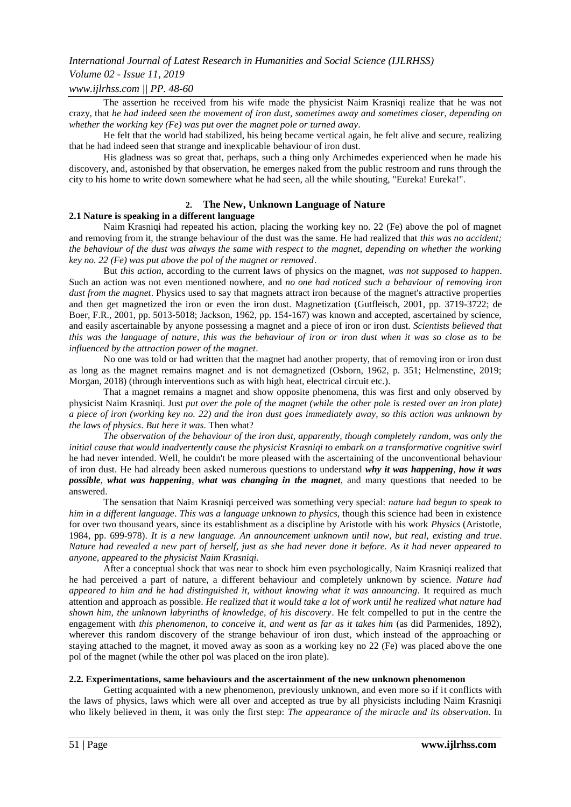## *Volume 02 - Issue 11, 2019*

## *www.ijlrhss.com || PP. 48-60*

The assertion he received from his wife made the physicist Naim Krasniqi realize that he was not crazy, that *he had indeed seen the movement of iron dust, sometimes away and sometimes closer, depending on whether the working key (Fe) was put over the magnet pole or turned away*.

He felt that the world had stabilized, his being became vertical again, he felt alive and secure, realizing that he had indeed seen that strange and inexplicable behaviour of iron dust.

His gladness was so great that, perhaps, such a thing only Archimedes experienced when he made his discovery, and, astonished by that observation, he emerges naked from the public restroom and runs through the city to his home to write down somewhere what he had seen, all the while shouting, "Eureka! Eureka!".

## **2. The New, Unknown Language of Nature**

## **2.1 Nature is speaking in a different language**

Naim Krasniqi had repeated his action, placing the working key no. 22 (Fe) above the pol of magnet and removing from it, the strange behaviour of the dust was the same. He had realized that *this was no accident; the behaviour of the dust was always the same with respect to the magnet, depending on whether the working key no. 22 (Fe) was put above the pol of the magnet or removed*.

But *this action*, according to the current laws of physics on the magnet, *was not supposed to happen*. Such an action was not even mentioned nowhere, and *no one had noticed such a behaviour of removing iron dust from the magnet*. Physics used to say that magnets attract iron because of the magnet's attractive properties and then get magnetized the iron or even the iron dust. Magnetization (Gutfleisch, 2001, pp. 3719-3722; de Boer, F.R., 2001, pp. 5013-5018; Jackson, 1962, pp. 154-167) was known and accepted, ascertained by science, and easily ascertainable by anyone possessing a magnet and a piece of iron or iron dust. *Scientists believed that this was the language of nature, this was the behaviour of iron or iron dust when it was so close as to be influenced by the attraction power of the magnet*.

No one was told or had written that the magnet had another property, that of removing iron or iron dust as long as the magnet remains magnet and is not demagnetized (Osborn, 1962, p. 351; Helmenstine, 2019; Morgan, 2018) (through interventions such as with high heat, electrical circuit etc.).

That a magnet remains a magnet and show opposite phenomena, this was first and only observed by physicist Naim Krasniqi. Just *put over the pole of the magnet (while the other pole is rested over an iron plate) a piece of iron (working key no. 22) and the iron dust goes immediately away, so this action was unknown by the laws of physics*. *But here it was*. Then what?

*The observation of the behaviour of the iron dust, apparently, though completely random, was only the initial cause that would inadvertently cause the physicist Krasniqi to embark on a transformative cognitive swirl* he had never intended. Well, he couldn't be more pleased with the ascertaining of the unconventional behaviour of iron dust. He had already been asked numerous questions to understand *why it was happening*, *how it was possible*, *what was happening*, *what was changing in the magnet*, and many questions that needed to be answered.

The sensation that Naim Krasniqi perceived was something very special: *nature had begun to speak to him in a different language*. *This was a language unknown to physics*, though this science had been in existence for over two thousand years, since its establishment as a discipline by Aristotle with his work *Physics* (Aristotle, 1984, pp. 699-978). *It is a new language. An announcement unknown until now, but real, existing and true*. *Nature had revealed a new part of herself, just as she had never done it before. As it had never appeared to anyone, appeared to the physicist Naim Krasniqi.*

After a conceptual shock that was near to shock him even psychologically, Naim Krasniqi realized that he had perceived a part of nature, a different behaviour and completely unknown by science. *Nature had appeared to him and he had distinguished it, without knowing what it was announcing*. It required as much attention and approach as possible. *He realized that it would take a lot of work until he realized what nature had shown him, the unknown labyrinths of knowledge, of his discovery*. He felt compelled to put in the centre the engagement with *this phenomenon, to conceive it, and went as far as it takes him* (as did Parmenides, 1892), wherever this random discovery of the strange behaviour of iron dust, which instead of the approaching or staying attached to the magnet, it moved away as soon as a working key no 22 (Fe) was placed above the one pol of the magnet (while the other pol was placed on the iron plate).

#### **2.2. Experimentations, same behaviours and the ascertainment of the new unknown phenomenon**

Getting acquainted with a new phenomenon, previously unknown, and even more so if it conflicts with the laws of physics, laws which were all over and accepted as true by all physicists including Naim Krasniqi who likely believed in them, it was only the first step: *The appearance of the miracle and its observation*. In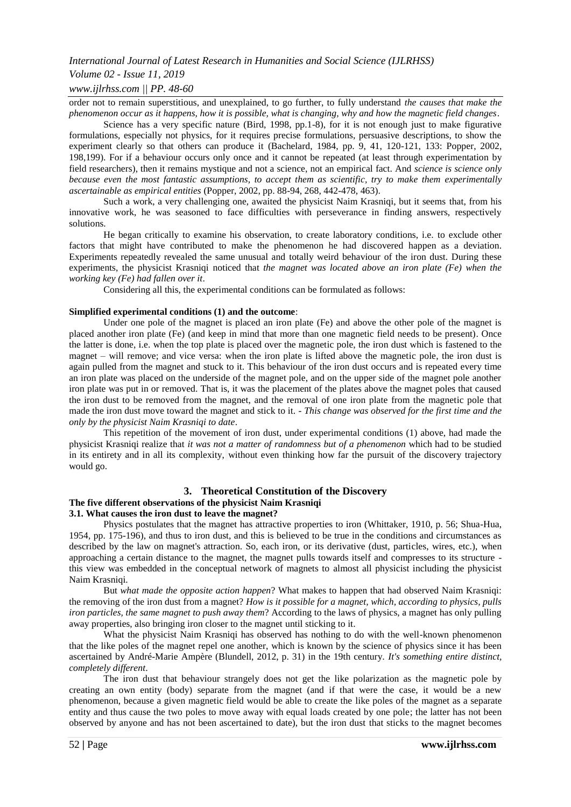## *Volume 02 - Issue 11, 2019*

### *www.ijlrhss.com || PP. 48-60*

order not to remain superstitious, and unexplained, to go further, to fully understand *the causes that make the phenomenon occur as it happens, how it is possible, what is changing, why and how the magnetic field changes*.

Science has a very specific nature (Bird, 1998, pp.1-8), for it is not enough just to make figurative formulations, especially not physics, for it requires precise formulations, persuasive descriptions, to show the experiment clearly so that others can produce it (Bachelard, 1984, pp. 9, 41, 120-121, 133: Popper, 2002, 198,199). For if a behaviour occurs only once and it cannot be repeated (at least through experimentation by field researchers), then it remains mystique and not a science, not an empirical fact. And *science is science only because even the most fantastic assumptions, to accept them as scientific, try to make them experimentally ascertainable as empirical entities* (Popper, 2002, pp. 88-94, 268, 442-478, 463).

Such a work, a very challenging one, awaited the physicist Naim Krasniqi, but it seems that, from his innovative work, he was seasoned to face difficulties with perseverance in finding answers, respectively solutions.

He began critically to examine his observation, to create laboratory conditions, i.e. to exclude other factors that might have contributed to make the phenomenon he had discovered happen as a deviation. Experiments repeatedly revealed the same unusual and totally weird behaviour of the iron dust. During these experiments, the physicist Krasniqi noticed that *the magnet was located above an iron plate (Fe) when the working key (Fe) had fallen over it*.

Considering all this, the experimental conditions can be formulated as follows:

#### **Simplified experimental conditions (1) and the outcome**:

Under one pole of the magnet is placed an iron plate (Fe) and above the other pole of the magnet is placed another iron plate (Fe) (and keep in mind that more than one magnetic field needs to be present). Once the latter is done, i.e. when the top plate is placed over the magnetic pole, the iron dust which is fastened to the magnet – will remove; and vice versa: when the iron plate is lifted above the magnetic pole, the iron dust is again pulled from the magnet and stuck to it. This behaviour of the iron dust occurs and is repeated every time an iron plate was placed on the underside of the magnet pole, and on the upper side of the magnet pole another iron plate was put in or removed. That is, it was the placement of the plates above the magnet poles that caused the iron dust to be removed from the magnet, and the removal of one iron plate from the magnetic pole that made the iron dust move toward the magnet and stick to it. - *This change was observed for the first time and the only by the physicist Naim Krasniqi to date*.

This repetition of the movement of iron dust, under experimental conditions (1) above, had made the physicist Krasniqi realize that *it was not a matter of randomness but of a phenomenon* which had to be studied in its entirety and in all its complexity, without even thinking how far the pursuit of the discovery trajectory would go.

## **3. Theoretical Constitution of the Discovery**

## **The five different observations of the physicist Naim Krasniqi**

#### **3.1. What causes the iron dust to leave the magnet?**

Physics postulates that the magnet has attractive properties to iron (Whittaker, 1910, p. 56; Shua-Hua, 1954, pp. 175-196), and thus to iron dust, and this is believed to be true in the conditions and circumstances as described by the law on magnet's attraction. So, each iron, or its derivative (dust, particles, wires, etc.), when approaching a certain distance to the magnet, the magnet pulls towards itself and compresses to its structure this view was embedded in the conceptual network of magnets to almost all physicist including the physicist Naim Krasniqi.

But *what made the opposite action happen*? What makes to happen that had observed Naim Krasniqi: the removing of the iron dust from a magnet? *How is it possible for a magnet, which, according to physics, pulls iron particles, the same magnet to push away them*? According to the laws of physics, a magnet has only pulling away properties, also bringing iron closer to the magnet until sticking to it.

What the physicist Naim Krasniqi has observed has nothing to do with the well-known phenomenon that the like poles of the magnet repel one another, which is known by the science of physics since it has been ascertained by André-Marie Ampère (Blundell, 2012, p. 31) in the 19th century. *It's something entire distinct, completely different*.

The iron dust that behaviour strangely does not get the like polarization as the magnetic pole by creating an own entity (body) separate from the magnet (and if that were the case, it would be a new phenomenon, because a given magnetic field would be able to create the like poles of the magnet as a separate entity and thus cause the two poles to move away with equal loads created by one pole; the latter has not been observed by anyone and has not been ascertained to date), but the iron dust that sticks to the magnet becomes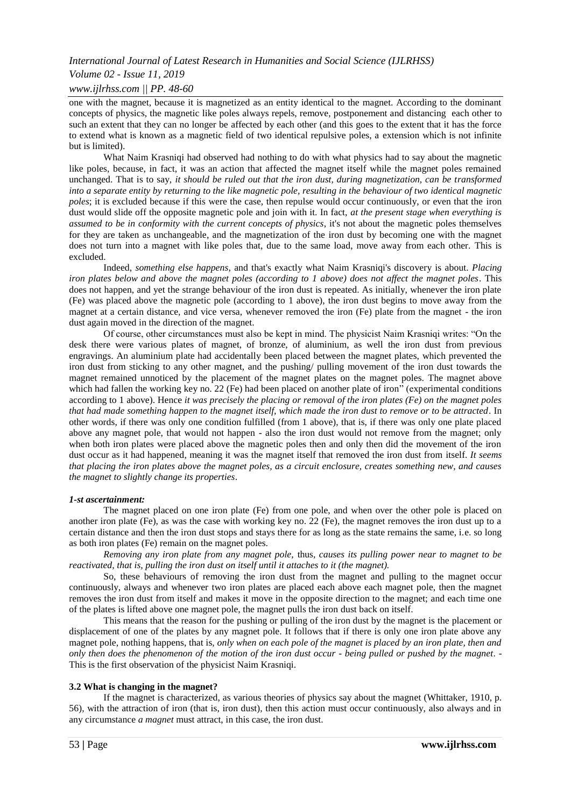## *Volume 02 - Issue 11, 2019*

## *www.ijlrhss.com || PP. 48-60*

one with the magnet, because it is magnetized as an entity identical to the magnet. According to the dominant concepts of physics, the magnetic like poles always repels, remove, postponement and distancing each other to such an extent that they can no longer be affected by each other (and this goes to the extent that it has the force to extend what is known as a magnetic field of two identical repulsive poles, a extension which is not infinite but is limited).

What Naim Krasniqi had observed had nothing to do with what physics had to say about the magnetic like poles, because, in fact, it was an action that affected the magnet itself while the magnet poles remained unchanged. That is to say, *it should be ruled out that the iron dust, during magnetization, can be transformed into a separate entity by returning to the like magnetic pole, resulting in the behaviour of two identical magnetic poles*; it is excluded because if this were the case, then repulse would occur continuously, or even that the iron dust would slide off the opposite magnetic pole and join with it. In fact, *at the present stage when everything is assumed to be in conformity with the current concepts of physics*, it's not about the magnetic poles themselves for they are taken as unchangeable, and the magnetization of the iron dust by becoming one with the magnet does not turn into a magnet with like poles that, due to the same load, move away from each other. This is excluded.

Indeed, *something else happens*, and that's exactly what Naim Krasniqi's discovery is about. *Placing iron plates below and above the magnet poles (according to 1 above) does not affect the magnet poles*. This does not happen, and yet the strange behaviour of the iron dust is repeated. As initially, whenever the iron plate (Fe) was placed above the magnetic pole (according to 1 above), the iron dust begins to move away from the magnet at a certain distance, and vice versa, whenever removed the iron (Fe) plate from the magnet - the iron dust again moved in the direction of the magnet.

Of course, other circumstances must also be kept in mind. The physicist Naim Krasniqi writes: "On the desk there were various plates of magnet, of bronze, of aluminium, as well the iron dust from previous engravings. An aluminium plate had accidentally been placed between the magnet plates, which prevented the iron dust from sticking to any other magnet, and the pushing/ pulling movement of the iron dust towards the magnet remained unnoticed by the placement of the magnet plates on the magnet poles. The magnet above which had fallen the working key no. 22 (Fe) had been placed on another plate of iron" (experimental conditions according to 1 above). Hence *it was precisely the placing or removal of the iron plates (Fe) on the magnet poles that had made something happen to the magnet itself, which made the iron dust to remove or to be attracted*. In other words, if there was only one condition fulfilled (from 1 above), that is, if there was only one plate placed above any magnet pole, that would not happen - also the iron dust would not remove from the magnet; only when both iron plates were placed above the magnetic poles then and only then did the movement of the iron dust occur as it had happened, meaning it was the magnet itself that removed the iron dust from itself. *It seems that placing the iron plates above the magnet poles, as a circuit enclosure, creates something new, and causes the magnet to slightly change its properties*.

#### *1-st ascertainment:*

The magnet placed on one iron plate (Fe) from one pole, and when over the other pole is placed on another iron plate (Fe), as was the case with working key no. 22 (Fe), the magnet removes the iron dust up to a certain distance and then the iron dust stops and stays there for as long as the state remains the same, i.e. so long as both iron plates (Fe) remain on the magnet poles.

*Removing any iron plate from any magnet pole,* thus*, causes its pulling power near to magnet to be reactivated, that is, pulling the iron dust on itself until it attaches to it (the magnet).*

So, these behaviours of removing the iron dust from the magnet and pulling to the magnet occur continuously, always and whenever two iron plates are placed each above each magnet pole, then the magnet removes the iron dust from itself and makes it move in the opposite direction to the magnet; and each time one of the plates is lifted above one magnet pole, the magnet pulls the iron dust back on itself.

This means that the reason for the pushing or pulling of the iron dust by the magnet is the placement or displacement of one of the plates by any magnet pole. It follows that if there is only one iron plate above any magnet pole, nothing happens, that is, *only when on each pole of the magnet is placed by an iron plate, then and only then does the phenomenon of the motion of the iron dust occur - being pulled or pushed by the magnet*. - This is the first observation of the physicist Naim Krasniqi.

#### **3.2 What is changing in the magnet?**

If the magnet is characterized, as various theories of physics say about the magnet (Whittaker, 1910, p. 56), with the attraction of iron (that is, iron dust), then this action must occur continuously, also always and in any circumstance *a magnet* must attract, in this case, the iron dust.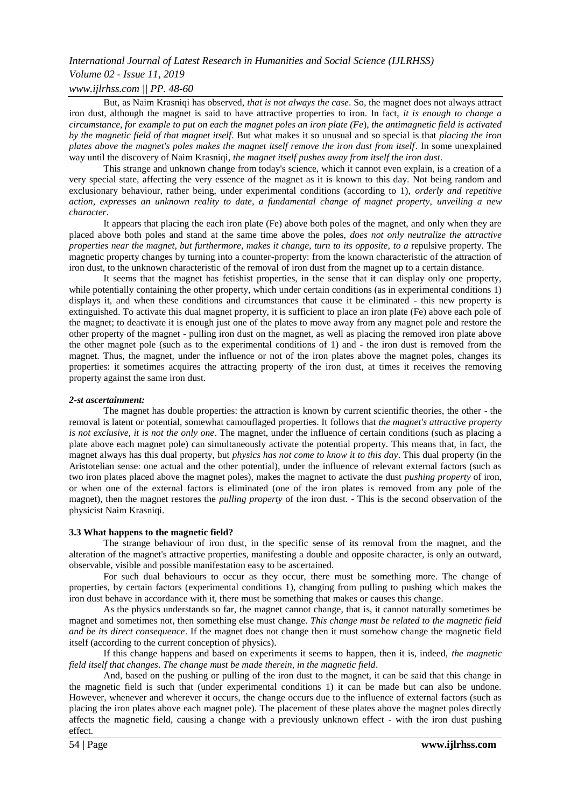## *Volume 02 - Issue 11, 2019*

## *www.ijlrhss.com || PP. 48-60*

But, as Naim Krasniqi has observed, *that is not always the case*. So, the magnet does not always attract iron dust, although the magnet is said to have attractive properties to iron. In fact, *it is enough to change a circumstance, for example to put on each the magnet poles an iron plate (Fe*), *the antimagnetic field is activated by the magnetic field of that magnet itself*. But what makes it so unusual and so special is that *placing the iron plates above the magnet's poles makes the magnet itself remove the iron dust from itself*. In some unexplained way until the discovery of Naim Krasniqi, *the magnet itself pushes away from itself the iron dust*.

This strange and unknown change from today's science, which it cannot even explain, is a creation of a very special state, affecting the very essence of the magnet as it is known to this day. Not being random and exclusionary behaviour, rather being, under experimental conditions (according to 1), *orderly and repetitive action, expresses an unknown reality to date, a fundamental change of magnet property, unveiling a new character*.

It appears that placing the each iron plate (Fe) above both poles of the magnet, and only when they are placed above both poles and stand at the same time above the poles, *does not only neutralize the attractive properties near the magnet, but furthermore, makes it change, turn to its opposite, to a repulsive property. The* magnetic property changes by turning into a counter-property: from the known characteristic of the attraction of iron dust, to the unknown characteristic of the removal of iron dust from the magnet up to a certain distance.

It seems that the magnet has fetishist properties, in the sense that it can display only one property, while potentially containing the other property, which under certain conditions (as in experimental conditions 1) displays it, and when these conditions and circumstances that cause it be eliminated - this new property is extinguished. To activate this dual magnet property, it is sufficient to place an iron plate (Fe) above each pole of the magnet; to deactivate it is enough just one of the plates to move away from any magnet pole and restore the other property of the magnet - pulling iron dust on the magnet, as well as placing the removed iron plate above the other magnet pole (such as to the experimental conditions of 1) and - the iron dust is removed from the magnet. Thus, the magnet, under the influence or not of the iron plates above the magnet poles, changes its properties: it sometimes acquires the attracting property of the iron dust, at times it receives the removing property against the same iron dust.

#### *2-st ascertainment:*

The magnet has double properties: the attraction is known by current scientific theories, the other - the removal is latent or potential, somewhat camouflaged properties. It follows that *the magnet's attractive property is not exclusive, it is not the only one*. The magnet, under the influence of certain conditions (such as placing a plate above each magnet pole) can simultaneously activate the potential property. This means that, in fact, the magnet always has this dual property, but *physics has not come to know it to this day*. This dual property (in the Aristotelian sense: one actual and the other potential), under the influence of relevant external factors (such as two iron plates placed above the magnet poles), makes the magnet to activate the dust *pushing property* of iron, or when one of the external factors is eliminated (one of the iron plates is removed from any pole of the magnet), then the magnet restores the *pulling property* of the iron dust. - This is the second observation of the physicist Naim Krasniqi.

#### **3.3 What happens to the magnetic field?**

The strange behaviour of iron dust, in the specific sense of its removal from the magnet, and the alteration of the magnet's attractive properties, manifesting a double and opposite character, is only an outward, observable, visible and possible manifestation easy to be ascertained.

For such dual behaviours to occur as they occur, there must be something more. The change of properties, by certain factors (experimental conditions 1), changing from pulling to pushing which makes the iron dust behave in accordance with it, there must be something that makes or causes this change.

As the physics understands so far, the magnet cannot change, that is, it cannot naturally sometimes be magnet and sometimes not, then something else must change. *This change must be related to the magnetic field and be its direct consequence*. If the magnet does not change then it must somehow change the magnetic field itself (according to the current conception of physics).

If this change happens and based on experiments it seems to happen, then it is, indeed, *the magnetic field itself that changes*. *The change must be made therein, in the magnetic field*.

And, based on the pushing or pulling of the iron dust to the magnet, it can be said that this change in the magnetic field is such that (under experimental conditions 1) it can be made but can also be undone. However, whenever and wherever it occurs, the change occurs due to the influence of external factors (such as placing the iron plates above each magnet pole). The placement of these plates above the magnet poles directly affects the magnetic field, causing a change with a previously unknown effect - with the iron dust pushing effect.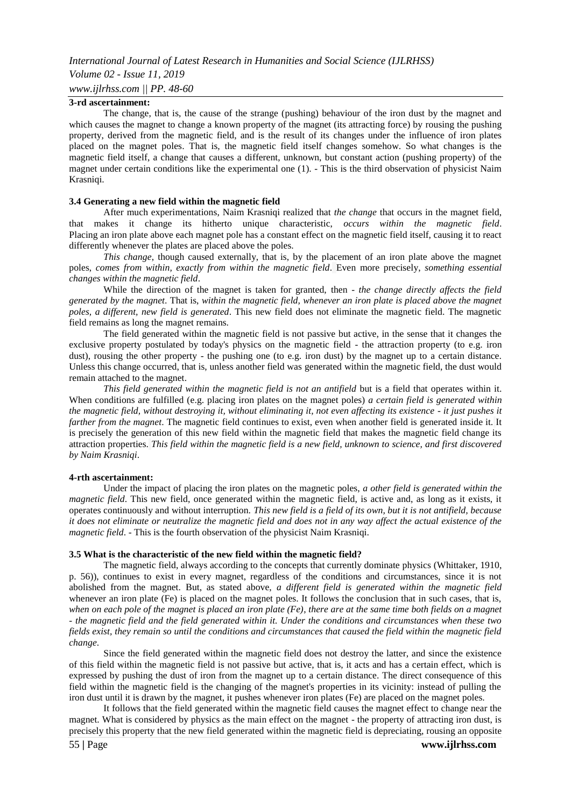#### *www.ijlrhss.com || PP. 48-60*

#### **3-rd ascertainment:**

The change, that is, the cause of the strange (pushing) behaviour of the iron dust by the magnet and which causes the magnet to change a known property of the magnet (its attracting force) by rousing the pushing property, derived from the magnetic field, and is the result of its changes under the influence of iron plates placed on the magnet poles. That is, the magnetic field itself changes somehow. So what changes is the magnetic field itself, a change that causes a different, unknown, but constant action (pushing property) of the magnet under certain conditions like the experimental one (1). - This is the third observation of physicist Naim Krasniqi.

#### **3.4 Generating a new field within the magnetic field**

After much experimentations, Naim Krasniqi realized that *the change* that occurs in the magnet field, that makes it change its hitherto unique characteristic, *occurs within the magnetic field*. Placing an iron plate above each magnet pole has a constant effect on the magnetic field itself, causing it to react differently whenever the plates are placed above the poles.

*This change*, though caused externally, that is, by the placement of an iron plate above the magnet poles, *comes from within, exactly from within the magnetic field*. Even more precisely, *something essential changes within the magnetic field*.

While the direction of the magnet is taken for granted, then - *the change directly affects the field generated by the magnet*. That is, *within the magnetic field, whenever an iron plate is placed above the magnet poles, a different, new field is generated*. This new field does not eliminate the magnetic field. The magnetic field remains as long the magnet remains.

The field generated within the magnetic field is not passive but active, in the sense that it changes the exclusive property postulated by today's physics on the magnetic field - the attraction property (to e.g. iron dust), rousing the other property - the pushing one (to e.g. iron dust) by the magnet up to a certain distance. Unless this change occurred, that is, unless another field was generated within the magnetic field, the dust would remain attached to the magnet.

*This field generated within the magnetic field is not an antifield* but is a field that operates within it. When conditions are fulfilled (e.g. placing iron plates on the magnet poles) *a certain field is generated within the magnetic field, without destroying it, without eliminating it, not even affecting its existence - it just pushes it farther from the magnet*. The magnetic field continues to exist, even when another field is generated inside it. It is precisely the generation of this new field within the magnetic field that makes the magnetic field change its attraction properties. *This field within the magnetic field is a new field, unknown to science, and first discovered by Naim Krasniqi*.

#### **4-rth ascertainment:**

Under the impact of placing the iron plates on the magnetic poles, *a other field is generated within the magnetic field*. This new field, once generated within the magnetic field, is active and, as long as it exists, it operates continuously and without interruption. *This new field is a field of its own, but it is not antifield, because it does not eliminate or neutralize the magnetic field and does not in any way affect the actual existence of the magnetic field*. - This is the fourth observation of the physicist Naim Krasniqi.

#### **3.5 What is the characteristic of the new field within the magnetic field?**

The magnetic field, always according to the concepts that currently dominate physics (Whittaker, 1910, p. 56)), continues to exist in every magnet, regardless of the conditions and circumstances, since it is not abolished from the magnet. But, as stated above, *a different field is generated within the magnetic field* whenever an iron plate (Fe) is placed on the magnet poles. It follows the conclusion that in such cases, that is, *when on each pole of the magnet is placed an iron plate (Fe)*, *there are at the same time both fields on a magnet - the magnetic field and the field generated within it. Under the conditions and circumstances when these two fields exist, they remain so until the conditions and circumstances that caused the field within the magnetic field change*.

Since the field generated within the magnetic field does not destroy the latter, and since the existence of this field within the magnetic field is not passive but active, that is, it acts and has a certain effect, which is expressed by pushing the dust of iron from the magnet up to a certain distance. The direct consequence of this field within the magnetic field is the changing of the magnet's properties in its vicinity: instead of pulling the iron dust until it is drawn by the magnet, it pushes whenever iron plates (Fe) are placed on the magnet poles.

It follows that the field generated within the magnetic field causes the magnet effect to change near the magnet. What is considered by physics as the main effect on the magnet - the property of attracting iron dust, is precisely this property that the new field generated within the magnetic field is depreciating, rousing an opposite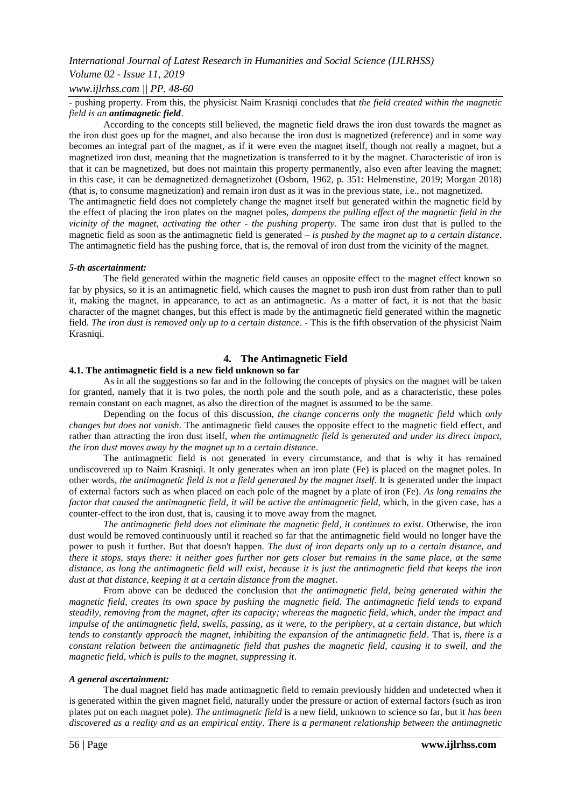## *Volume 02 - Issue 11, 2019*

*www.ijlrhss.com || PP. 48-60*

- pushing property. From this, the physicist Naim Krasniqi concludes that *the field created within the magnetic field is an antimagnetic field*.

According to the concepts still believed, the magnetic field draws the iron dust towards the magnet as the iron dust goes up for the magnet, and also because the iron dust is magnetized (reference) and in some way becomes an integral part of the magnet, as if it were even the magnet itself, though not really a magnet, but a magnetized iron dust, meaning that the magnetization is transferred to it by the magnet. Characteristic of iron is that it can be magnetized, but does not maintain this property permanently, also even after leaving the magnet; in this case, it can be demagnetized demagnetizohet (Osborn, 1962, p. 351: Helmenstine, 2019; Morgan 2018) (that is, to consume magnetization) and remain iron dust as it was in the previous state, i.e., not magnetized. The antimagnetic field does not completely change the magnet itself but generated within the magnetic field by the effect of placing the iron plates on the magnet poles, *dampens the pulling effect of the magnetic field in the vicinity of the magnet*, *activating the other - the pushing property*. The same iron dust that is pulled to the magnetic field as soon as the antimagnetic field is generated – *is pushed by the magnet up to a certain distance*. The antimagnetic field has the pushing force, that is, the removal of iron dust from the vicinity of the magnet.

#### *5-th ascertainment:*

The field generated within the magnetic field causes an opposite effect to the magnet effect known so far by physics, so it is an antimagnetic field, which causes the magnet to push iron dust from rather than to pull it, making the magnet, in appearance, to act as an antimagnetic. As a matter of fact, it is not that the basic character of the magnet changes, but this effect is made by the antimagnetic field generated within the magnetic field. *The iron dust is removed only up to a certain distance*. - This is the fifth observation of the physicist Naim Krasniqi.

## **4. The Antimagnetic Field**

## **4.1. The antimagnetic field is a new field unknown so far**

As in all the suggestions so far and in the following the concepts of physics on the magnet will be taken for granted, namely that it is two poles, the north pole and the south pole, and as a characteristic, these poles remain constant on each magnet, as also the direction of the magnet is assumed to be the same.

Depending on the focus of this discussion, *the change concerns only the magnetic field* which *only changes but does not vanish*. The antimagnetic field causes the opposite effect to the magnetic field effect, and rather than attracting the iron dust itself, *when the antimagnetic field is generated and under its direct impact, the iron dust moves away by the magnet up to a certain distance*.

The antimagnetic field is not generated in every circumstance, and that is why it has remained undiscovered up to Naim Krasniqi. It only generates when an iron plate (Fe) is placed on the magnet poles. In other words, *the antimagnetic field is not a field generated by the magnet itself*. It is generated under the impact of external factors such as when placed on each pole of the magnet by a plate of iron (Fe). *As long remains the factor that caused the antimagnetic field, it will be active the antimagnetic field, which, in the given case, has a* counter-effect to the iron dust, that is, causing it to move away from the magnet.

*The antimagnetic field does not eliminate the magnetic field, it continues to exist*. Otherwise, the iron dust would be removed continuously until it reached so far that the antimagnetic field would no longer have the power to push it further. But that doesn't happen. *The dust of iron departs only up to a certain distance, and there it stops, stays there: it neither goes further nor gets closer but remains in the same place, at the same distance*, *as long the antimagnetic field will exist, because it is just the antimagnetic field that keeps the iron dust at that distance, keeping it at a certain distance from the magnet*.

From above can be deduced the conclusion that *the antimagnetic field, being generated within the magnetic field, creates its own space by pushing the magnetic field. The antimagnetic field tends to expand steadily, removing from the magnet, after its capacity; whereas the magnetic field, which, under the impact and impulse of the antimagnetic field, swells, passing, as it were, to the periphery, at a certain distance, but which tends to constantly approach the magnet, inhibiting the expansion of the antimagnetic field*. That is, *there is a constant relation between the antimagnetic field that pushes the magnetic field, causing it to swell, and the magnetic field, which is pulls to the magnet, suppressing it*.

#### *A general ascertainment:*

The dual magnet field has made antimagnetic field to remain previously hidden and undetected when it is generated within the given magnet field, naturally under the pressure or action of external factors (such as iron plates put on each magnet pole). *The antimagnetic field* is a new field, unknown to science so far, but it *has been discovered as a reality and as an empirical entity*. *There is a permanent relationship between the antimagnetic*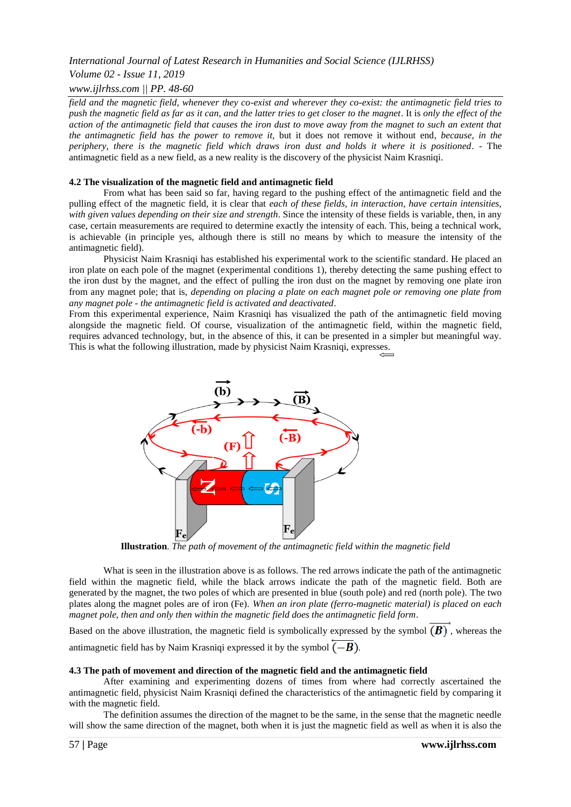## *Volume 02 - Issue 11, 2019*

#### *www.ijlrhss.com || PP. 48-60*

*field and the magnetic field, whenever they co-exist and wherever they co-exist: the antimagnetic field tries to push the magnetic field as far as it can, and the latter tries to get closer to the magnet*. It is *only the effect of the action of the antimagnetic field that causes the iron dust to move away from the magnet to such an extent that the antimagnetic field has the power to remove it,* but it does not remove it without end*, because, in the periphery, there is the magnetic field which draws iron dust and holds it where it is positioned*. - The antimagnetic field as a new field, as a new reality is the discovery of the physicist Naim Krasniqi.

#### **4.2 The visualization of the magnetic field and antimagnetic field**

From what has been said so far, having regard to the pushing effect of the antimagnetic field and the pulling effect of the magnetic field, it is clear that *each of these fields, in interaction, have certain intensities, with given values depending on their size and strength*. Since the intensity of these fields is variable, then, in any case, certain measurements are required to determine exactly the intensity of each. This, being a technical work, is achievable (in principle yes, although there is still no means by which to measure the intensity of the antimagnetic field).

Physicist Naim Krasniqi has established his experimental work to the scientific standard. He placed an iron plate on each pole of the magnet (experimental conditions 1), thereby detecting the same pushing effect to the iron dust by the magnet, and the effect of pulling the iron dust on the magnet by removing one plate iron from any magnet pole; that is, *depending on placing a plate on each magnet pole or removing one plate from any magnet pole - the antimagnetic field is activated and deactivated*.

From this experimental experience, Naim Krasniqi has visualized the path of the antimagnetic field moving alongside the magnetic field. Of course, visualization of the antimagnetic field, within the magnetic field, requires advanced technology, but, in the absence of this, it can be presented in a simpler but meaningful way. This is what the following illustration, made by physicist Naim Krasniqi, expresses.



**Illustration**. *The path of movement of the antimagnetic field within the magnetic field*

What is seen in the illustration above is as follows. The red arrows indicate the path of the antimagnetic field within the magnetic field, while the black arrows indicate the path of the magnetic field. Both are generated by the magnet, the two poles of which are presented in blue (south pole) and red (north pole). The two plates along the magnet poles are of iron (Fe). *When an iron plate (ferro-magnetic material) is placed on each magnet pole, then and only then within the magnetic field does the antimagnetic field form*.

Based on the above illustration, the magnetic field is symbolically expressed by the symbol  $(B)$ , whereas the antimagnetic field has by Naim Krasniqi expressed it by the symbol  $\overline{(-B)}$ .

#### **4.3 The path of movement and direction of the magnetic field and the antimagnetic field**

After examining and experimenting dozens of times from where had correctly ascertained the antimagnetic field, physicist Naim Krasniqi defined the characteristics of the antimagnetic field by comparing it with the magnetic field.

The definition assumes the direction of the magnet to be the same, in the sense that the magnetic needle will show the same direction of the magnet, both when it is just the magnetic field as well as when it is also the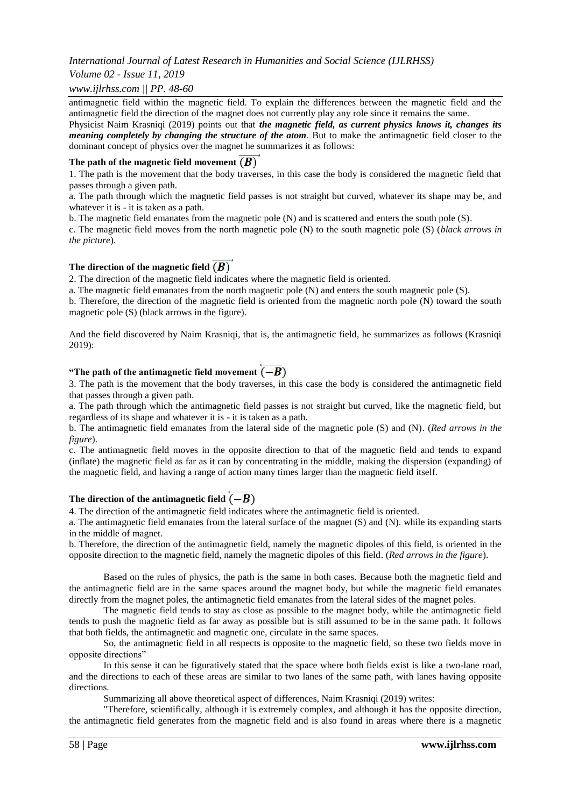## *Volume 02 - Issue 11, 2019*

### *www.ijlrhss.com || PP. 48-60*

antimagnetic field within the magnetic field. To explain the differences between the magnetic field and the antimagnetic field the direction of the magnet does not currently play any role since it remains the same.

Physicist Naim Krasniqi (2019) points out that *the magnetic field, as current physics knows it, changes its meaning completely by changing the structure of the atom*. But to make the antimagnetic field closer to the dominant concept of physics over the magnet he summarizes it as follows:

## The path of the magnetic field movement  $(B)$

1. The path is the movement that the body traverses, in this case the body is considered the magnetic field that passes through a given path.

a. The path through which the magnetic field passes is not straight but curved, whatever its shape may be, and whatever it is - it is taken as a path.

b. The magnetic field emanates from the magnetic pole (N) and is scattered and enters the south pole (S).

c. The magnetic field moves from the north magnetic pole (N) to the south magnetic pole (S) (*black arrows in the picture*).

### The direction of the magnetic field  $(B)$

2. The direction of the magnetic field indicates where the magnetic field is oriented.

a. The magnetic field emanates from the north magnetic pole (N) and enters the south magnetic pole (S).

b. Therefore, the direction of the magnetic field is oriented from the magnetic north pole (N) toward the south magnetic pole (S) (black arrows in the figure).

And the field discovered by Naim Krasniqi, that is, the antimagnetic field, he summarizes as follows (Krasniqi 2019):

## **"The path of the antimagnetic field movement**  $(-B)$

3. The path is the movement that the body traverses, in this case the body is considered the antimagnetic field that passes through a given path.

a. The path through which the antimagnetic field passes is not straight but curved, like the magnetic field, but regardless of its shape and whatever it is - it is taken as a path.

b. The antimagnetic field emanates from the lateral side of the magnetic pole (S) and (N). (*Red arrows in the figure*).

c. The antimagnetic field moves in the opposite direction to that of the magnetic field and tends to expand (inflate) the magnetic field as far as it can by concentrating in the middle, making the dispersion (expanding) of the magnetic field, and having a range of action many times larger than the magnetic field itself.

## The direction of the antimagnetic field  $\overline{(-B)}$

4. The direction of the antimagnetic field indicates where the antimagnetic field is oriented.

a. The antimagnetic field emanates from the lateral surface of the magnet (S) and (N). while its expanding starts in the middle of magnet.

b. Therefore, the direction of the antimagnetic field, namely the magnetic dipoles of this field, is oriented in the opposite direction to the magnetic field, namely the magnetic dipoles of this field. (*Red arrows in the figure*).

Based on the rules of physics, the path is the same in both cases. Because both the magnetic field and the antimagnetic field are in the same spaces around the magnet body, but while the magnetic field emanates directly from the magnet poles, the antimagnetic field emanates from the lateral sides of the magnet poles.

The magnetic field tends to stay as close as possible to the magnet body, while the antimagnetic field tends to push the magnetic field as far away as possible but is still assumed to be in the same path. It follows that both fields, the antimagnetic and magnetic one, circulate in the same spaces.

So, the antimagnetic field in all respects is opposite to the magnetic field, so these two fields move in opposite directions"

In this sense it can be figuratively stated that the space where both fields exist is like a two-lane road, and the directions to each of these areas are similar to two lanes of the same path, with lanes having opposite directions.

Summarizing all above theoretical aspect of differences, Naim Krasniqi (2019) writes:

"Therefore, scientifically, although it is extremely complex, and although it has the opposite direction, the antimagnetic field generates from the magnetic field and is also found in areas where there is a magnetic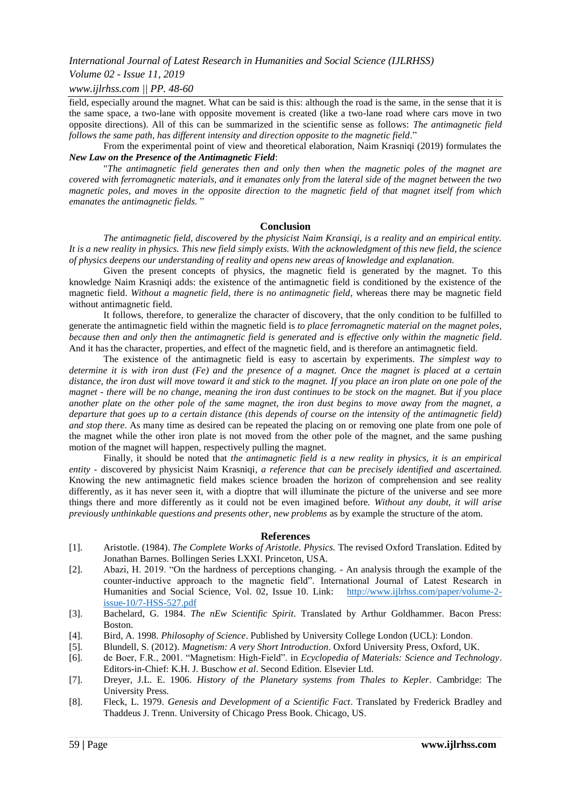#### *Volume 02 - Issue 11, 2019*

#### *www.ijlrhss.com || PP. 48-60*

field, especially around the magnet. What can be said is this: although the road is the same, in the sense that it is the same space, a two-lane with opposite movement is created (like a two-lane road where cars move in two opposite directions). All of this can be summarized in the scientific sense as follows: *The antimagnetic field follows the same path, has different intensity and direction opposite to the magnetic field*."

From the experimental point of view and theoretical elaboration, Naim Krasniqi (2019) formulates the *New Law on the Presence of the Antimagnetic Field*:

"*The antimagnetic field generates then and only then when the magnetic poles of the magnet are covered with ferromagnetic materials, and it emanates only from the lateral side of the magnet between the two magnetic poles, and moves in the opposite direction to the magnetic field of that magnet itself from which emanates the antimagnetic fields.* "

#### **Conclusion**

*The antimagnetic field, discovered by the physicist Naim Kransiqi, is a reality and an empirical entity. It is a new reality in physics. This new field simply exists. With the acknowledgment of this new field, the science of physics deepens our understanding of reality and opens new areas of knowledge and explanation.*

Given the present concepts of physics, the magnetic field is generated by the magnet. To this knowledge Naim Krasniqi adds: the existence of the antimagnetic field is conditioned by the existence of the magnetic field. *Without a magnetic field, there is no antimagnetic field*, whereas there may be magnetic field without antimagnetic field.

It follows, therefore, to generalize the character of discovery, that the only condition to be fulfilled to generate the antimagnetic field within the magnetic field is *to place ferromagnetic material on the magnet poles, because then and only then the antimagnetic field is generated and is effective only within the magnetic field*. And it has the character, properties, and effect of the magnetic field, and is therefore an antimagnetic field.

The existence of the antimagnetic field is easy to ascertain by experiments. *The simplest way to determine it is with iron dust (Fe) and the presence of a magnet. Once the magnet is placed at a certain distance, the iron dust will move toward it and stick to the magnet. If you place an iron plate on one pole of the magnet - there will be no change, meaning the iron dust continues to be stock on the magnet. But if you place another plate on the other pole of the same magnet, the iron dust begins to move away from the magnet, a departure that goes up to a certain distance (this depends of course on the intensity of the antimagnetic field) and stop there*. As many time as desired can be repeated the placing on or removing one plate from one pole of the magnet while the other iron plate is not moved from the other pole of the magnet, and the same pushing motion of the magnet will happen, respectively pulling the magnet.

Finally, it should be noted that *the antimagnetic field is a new reality in physics, it is an empirical entity -* discovered by physicist Naim Krasniqi*, a reference that can be precisely identified and ascertained.*  Knowing the new antimagnetic field makes science broaden the horizon of comprehension and see reality differently, as it has never seen it, with a dioptre that will illuminate the picture of the universe and see more things there and more differently as it could not be even imagined before*. Without any doubt, it will arise previously unthinkable questions and presents other, new problems* as by example the structure of the atom.

#### **References**

- [1]. Aristotle. (1984). *The Complete Works of Aristotle*. *Physics.* The revised Oxford Translation. Edited by Jonathan Barnes. Bollingen Series LXXI. Princeton, USA.
- [2]. Abazi, H. 2019. "On the hardness of perceptions changing. An analysis through the example of the counter-inductive approach to the magnetic field". International Journal of Latest Research in Humanities and Social Science, Vol. 02, Issue 10. Link: [http://www.ijlrhss.com/paper/volume-2](http://www.ijlrhss.com/paper/volume-2-issue-10/7-HSS-527.pdf) [issue-10/7-HSS-527.pdf](http://www.ijlrhss.com/paper/volume-2-issue-10/7-HSS-527.pdf)
- [3]. Bachelard, G. 1984. *The nEw Scientific Spirit*. Translated by Arthur Goldhammer. Bacon Press: Boston.
- [4]. Bird, A. 1998. *Philosophy of Science*. Published by University College London (UCL): London.
- [5]. Blundell, S. (2012). *Magnetism: A very Short Introduction*. Oxford University Press, Oxford, UK.
- [6]. de Boer, F.R., 2001. "Magnetism: High-Field". in *Ecyclopedia of Materials: Science and Technology*. Editors-in-Chief: K.H. J. Buschow *et al*. Second Edition. Elsevier Ltd.
- [7]. Dreyer, J.L. E. 1906. *History of the Planetary systems from Thales to Kepler*. Cambridge: The University Press.
- [8]. Fleck, L. 1979. *Genesis and Development of a Scientific Fact*. Translated by [Frederick Bradley](https://www.press.uchicago.edu/ucp/books/author/B/F/au5838622.html) and [Thaddeus J. Trenn.](https://www.press.uchicago.edu/ucp/books/author/T/T/au5838621.html) University of Chicago Press Book. Chicago, US.